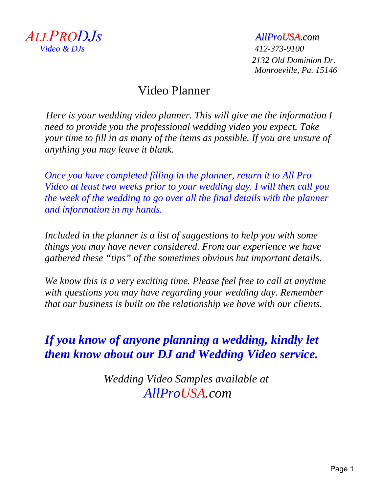

 *Video & DJs 412-373-9100 2132 Old Dominion Dr. Monroeville, Pa. 15146*

### Video Planner

 *Here is your wedding video planner. This will give me the information I need to provide you the professional wedding video you expect. Take your time to fill in as many of the items as possible. If you are unsure of anything you may leave it blank.*

*Once you have completed filling in the planner, return it to All Pro Video at least two weeks prior to your wedding day. I will then call you the week of the wedding to go over all the final details with the planner and information in my hands.* 

*Included in the planner is a list of suggestions to help you with some things you may have never considered. From our experience we have gathered these "tips" of the sometimes obvious but important details.*

*We know this is a very exciting time. Please feel free to call at anytime with questions you may have regarding your wedding day. Remember that our business is built on the relationship we have with our clients.* 

### *If you know of anyone planning a wedding, kindly let them know about our DJ and Wedding Video service.*

*Wedding Video Samples available at AllProUSA.com*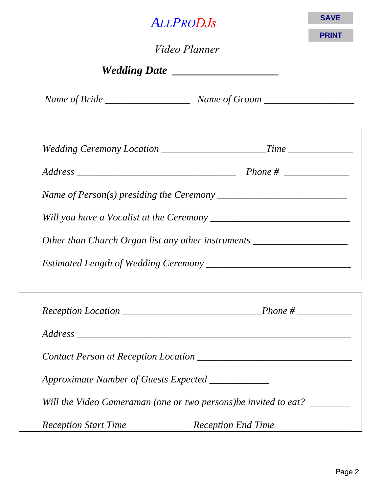| <b>ALLPRODJS</b><br><i>Video Planner</i><br>Wedding Date ____________________                         | <b>SAVE</b><br><b>PRINT</b> |  |  |  |  |  |
|-------------------------------------------------------------------------------------------------------|-----------------------------|--|--|--|--|--|
|                                                                                                       |                             |  |  |  |  |  |
|                                                                                                       |                             |  |  |  |  |  |
|                                                                                                       |                             |  |  |  |  |  |
| Name of Person(s) presiding the Ceremony $\frac{1}{\sqrt{1-\frac{1}{n}}}\left\{ \frac{1}{n} \right\}$ |                             |  |  |  |  |  |
|                                                                                                       |                             |  |  |  |  |  |
| Other than Church Organ list any other instruments ______________________________                     |                             |  |  |  |  |  |

*Estimated Length of Wedding Ceremony \_\_\_\_\_\_\_\_\_\_\_\_\_\_\_\_\_\_\_\_\_\_\_\_\_\_\_\_\_*

| Approximate Number of Guests Expected ___________ |                                                                  |
|---------------------------------------------------|------------------------------------------------------------------|
|                                                   | Will the Video Cameraman (one or two persons) be invited to eat? |
| Reception Start Time __________                   | Reception End Time                                               |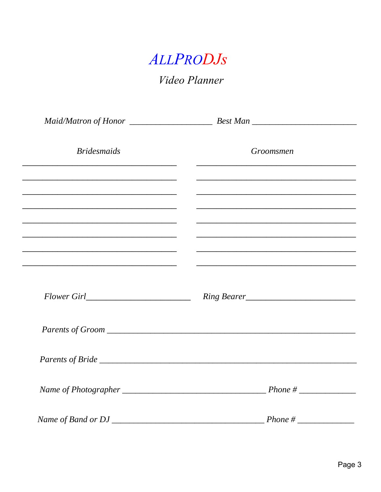

Video Planner

| <b>Bridesmaids</b> | Groomsmen                                                                                                            |
|--------------------|----------------------------------------------------------------------------------------------------------------------|
|                    |                                                                                                                      |
|                    |                                                                                                                      |
|                    | <u> 1999 - Johann John Harry Harry Harry Harry Harry Harry Harry Harry Harry Harry Harry Harry Harry Harry Harry</u> |
|                    | <u> 1999 - Jan James James James James James James James James James James James James James James James James</u>   |
|                    | <u> 1989 - Johann John Harry, mars ar yw y cynnwys y cynnwys y cynnwys y cynnwys y cynnwys y cynnwys y cynnwys y</u> |
|                    |                                                                                                                      |
|                    |                                                                                                                      |
|                    |                                                                                                                      |
|                    |                                                                                                                      |
|                    |                                                                                                                      |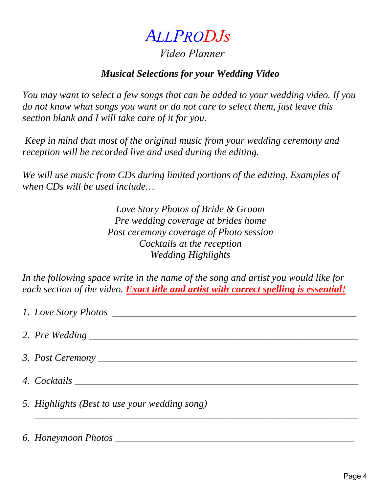### *Video Planner*

#### *Musical Selections for your Wedding Video*

*You may want to select a few songs that can be added to your wedding video. If you do not know what songs you want or do not care to select them, just leave this section blank and I will take care of it for you.*

*Keep in mind that most of the original music from your wedding ceremony and reception will be recorded live and used during the editing.*

*We will use music from CDs during limited portions of the editing. Examples of when CDs will be used include…*

> *Love Story Photos of Bride & Groom Pre wedding coverage at brides home Post ceremony coverage of Photo session Cocktails at the reception Wedding Highlights*

*In the following space write in the name of the song and artist you would like for each section of the video. Exact title and artist with correct spelling is essential!*

| 1. Love Story Photos                          |
|-----------------------------------------------|
|                                               |
|                                               |
|                                               |
| 5. Highlights (Best to use your wedding song) |
|                                               |

#### *6. Honeymoon Photos \_\_\_\_\_\_\_\_\_\_\_\_\_\_\_\_\_\_\_\_\_\_\_\_\_\_\_\_\_\_\_\_\_\_\_\_\_\_\_\_\_\_\_\_\_\_\_\_*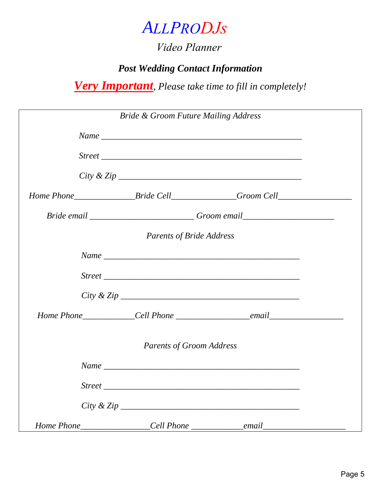### *Video Planner*

### *Post Wedding Contact Information*

*Very Important, Please take time to fill in completely!*

|  | <b>Bride &amp; Groom Future Mailing Address</b> |                                                                                   |  |
|--|-------------------------------------------------|-----------------------------------------------------------------------------------|--|
|  |                                                 |                                                                                   |  |
|  |                                                 |                                                                                   |  |
|  |                                                 |                                                                                   |  |
|  |                                                 | Home Phone___________________Bride Cell________________Groom Cell________________ |  |
|  |                                                 | Bride email ____________________________Groom email_____________________________  |  |
|  | <b>Parents of Bride Address</b>                 |                                                                                   |  |
|  |                                                 |                                                                                   |  |
|  |                                                 |                                                                                   |  |
|  |                                                 |                                                                                   |  |
|  |                                                 |                                                                                   |  |
|  | <b>Parents of Groom Address</b>                 |                                                                                   |  |
|  |                                                 |                                                                                   |  |
|  |                                                 |                                                                                   |  |
|  |                                                 |                                                                                   |  |
|  |                                                 |                                                                                   |  |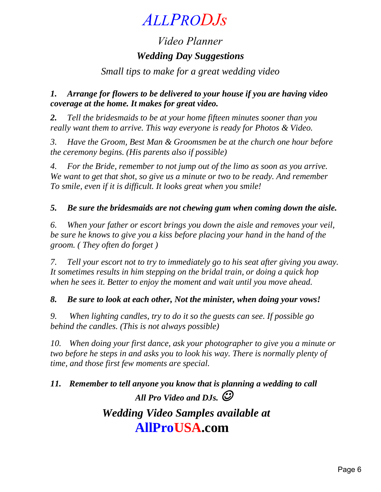### *Video Planner Wedding Day Suggestions*

*Small tips to make for a great wedding video*

#### *1. Arrange for flowers to be delivered to your house if you are having video coverage at the home. It makes for great video.*

*2. Tell the bridesmaids to be at your home fifteen minutes sooner than you really want them to arrive. This way everyone is ready for Photos & Video.* 

*3. Have the Groom, Best Man & Groomsmen be at the church one hour before the ceremony begins. (His parents also if possible)*

*4. For the Bride, remember to not jump out of the limo as soon as you arrive. We want to get that shot, so give us a minute or two to be ready. And remember To smile, even if it is difficult. It looks great when you smile!*

*5. Be sure the bridesmaids are not chewing gum when coming down the aisle.*

*6. When your father or escort brings you down the aisle and removes your veil, be sure he knows to give you a kiss before placing your hand in the hand of the groom. ( They often do forget )*

*7. Tell your escort not to try to immediately go to his seat after giving you away. It sometimes results in him stepping on the bridal train, or doing a quick hop when he sees it. Better to enjoy the moment and wait until you move ahead.*

#### *8. Be sure to look at each other, Not the minister, when doing your vows!*

*9. When lighting candles, try to do it so the guests can see. If possible go behind the candles. (This is not always possible)*

*10. When doing your first dance, ask your photographer to give you a minute or two before he steps in and asks you to look his way. There is normally plenty of time, and those first few moments are special.*

*11. Remember to tell anyone you know that is planning a wedding to call All Pro Video and DJs.* 

### *Wedding Video Samples available at*  **AllProUSA.com**